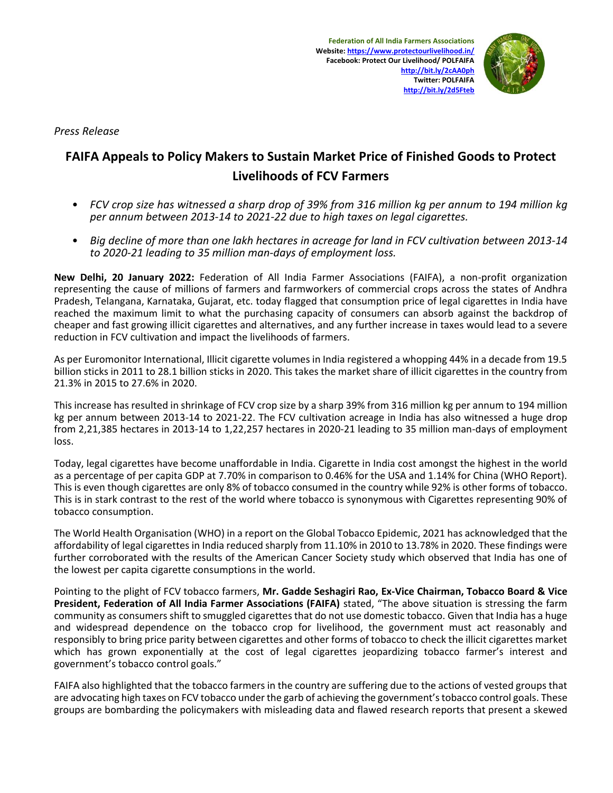

*Press Release*

## **FAIFA Appeals to Policy Makers to Sustain Market Price of Finished Goods to Protect Livelihoods of FCV Farmers**

- FCV crop size has witnessed a sharp drop of 39% from 316 million ka per annum to 194 million ka *per annum between 2013-14 to 2021-22 due to high taxes on legal cigarettes.*
- *Big decline of more than one lakh hectares in acreage for land in FCV cultivation between 2013-14 to 2020-21 leading to 35 million man-days of employment loss.*

**New Delhi, 20 January 2022:** Federation of All India Farmer Associations (FAIFA), a non-profit organization representing the cause of millions of farmers and farmworkers of commercial crops across the states of Andhra Pradesh, Telangana, Karnataka, Gujarat, etc. today flagged that consumption price of legal cigarettes in India have reached the maximum limit to what the purchasing capacity of consumers can absorb against the backdrop of cheaper and fast growing illicit cigarettes and alternatives, and any further increase in taxes would lead to a severe reduction in FCV cultivation and impact the livelihoods of farmers.

As per Euromonitor International, Illicit cigarette volumes in India registered a whopping 44% in a decade from 19.5 billion sticks in 2011 to 28.1 billion sticks in 2020. This takes the market share of illicit cigarettes in the country from 21.3% in 2015 to 27.6% in 2020.

This increase has resulted in shrinkage of FCV crop size by a sharp 39% from 316 million kg per annum to 194 million kg per annum between 2013-14 to 2021-22. The FCV cultivation acreage in India has also witnessed a huge drop from 2,21,385 hectares in 2013-14 to 1,22,257 hectares in 2020-21 leading to 35 million man-days of employment loss.

Today, legal cigarettes have become unaffordable in India. Cigarette in India cost amongst the highest in the world as a percentage of per capita GDP at 7.70% in comparison to 0.46% for the USA and 1.14% for China (WHO Report). This is even though cigarettes are only 8% of tobacco consumed in the country while 92% is other forms of tobacco. This is in stark contrast to the rest of the world where tobacco is synonymous with Cigarettes representing 90% of tobacco consumption.

The World Health Organisation (WHO) in a report on the Global Tobacco Epidemic, 2021 has acknowledged that the affordability of legal cigarettes in India reduced sharply from 11.10% in 2010 to 13.78% in 2020. These findings were further corroborated with the results of the American Cancer Society study which observed that India has one of the lowest per capita cigarette consumptions in the world.

Pointing to the plight of FCV tobacco farmers, **Mr. Gadde Seshagiri Rao, Ex-Vice Chairman, Tobacco Board & Vice President, Federation of All India Farmer Associations (FAIFA)** stated, "The above situation is stressing the farm community as consumers shift to smuggled cigarettes that do not use domestic tobacco. Given that India has a huge and widespread dependence on the tobacco crop for livelihood, the government must act reasonably and responsibly to bring price parity between cigarettes and other forms of tobacco to check the illicit cigarettes market which has grown exponentially at the cost of legal cigarettes jeopardizing tobacco farmer's interest and government's tobacco control goals."

FAIFA also highlighted that the tobacco farmers in the country are suffering due to the actions of vested groups that are advocating high taxes on FCV tobacco under the garb of achieving the government's tobacco control goals. These groups are bombarding the policymakers with misleading data and flawed research reports that present a skewed